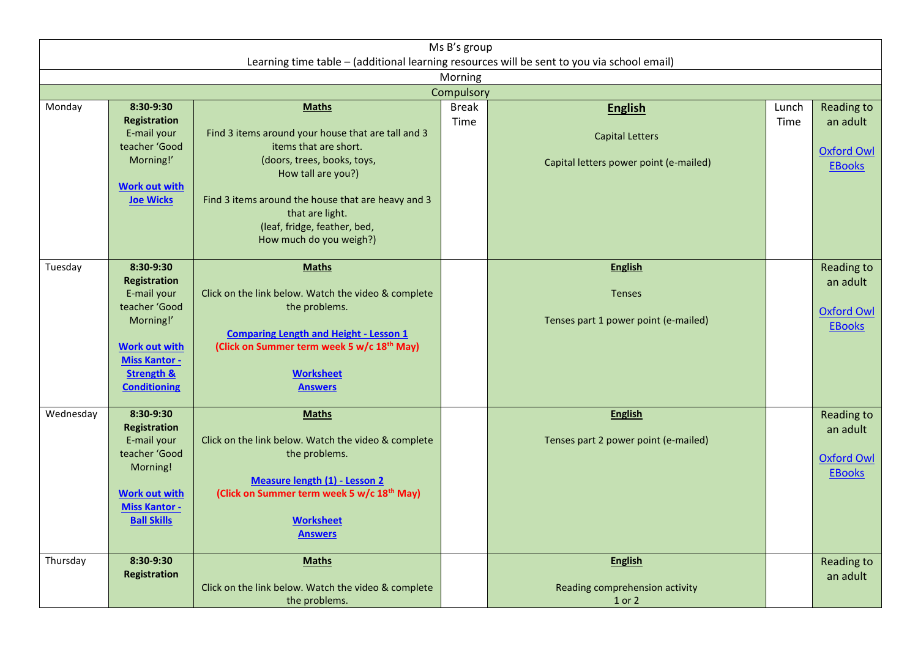| Ms B's group<br>Learning time table - (additional learning resources will be sent to you via school email) |                                                                                                                                                                               |                                                                                                                                                                                                                                                                                      |                      |                                                                                    |               |                                                                     |  |  |  |  |  |  |
|------------------------------------------------------------------------------------------------------------|-------------------------------------------------------------------------------------------------------------------------------------------------------------------------------|--------------------------------------------------------------------------------------------------------------------------------------------------------------------------------------------------------------------------------------------------------------------------------------|----------------------|------------------------------------------------------------------------------------|---------------|---------------------------------------------------------------------|--|--|--|--|--|--|
| Morning                                                                                                    |                                                                                                                                                                               |                                                                                                                                                                                                                                                                                      |                      |                                                                                    |               |                                                                     |  |  |  |  |  |  |
| Compulsory                                                                                                 |                                                                                                                                                                               |                                                                                                                                                                                                                                                                                      |                      |                                                                                    |               |                                                                     |  |  |  |  |  |  |
| Monday                                                                                                     | 8:30-9:30<br><b>Registration</b><br>E-mail your<br>teacher 'Good<br>Morning!'<br><b>Work out with</b><br><b>Joe Wicks</b>                                                     | <b>Maths</b><br>Find 3 items around your house that are tall and 3<br>items that are short.<br>(doors, trees, books, toys,<br>How tall are you?)<br>Find 3 items around the house that are heavy and 3<br>that are light.<br>(leaf, fridge, feather, bed,<br>How much do you weigh?) | <b>Break</b><br>Time | <b>English</b><br><b>Capital Letters</b><br>Capital letters power point (e-mailed) | Lunch<br>Time | Reading to<br>an adult<br><b>Oxford Owl</b><br><b>EBooks</b>        |  |  |  |  |  |  |
| Tuesday                                                                                                    | 8:30-9:30<br><b>Registration</b><br>E-mail your<br>teacher 'Good<br>Morning!'<br><b>Work out with</b><br><b>Miss Kantor -</b><br><b>Strength &amp;</b><br><b>Conditioning</b> | <b>Maths</b><br>Click on the link below. Watch the video & complete<br>the problems.<br><b>Comparing Length and Height - Lesson 1</b><br>(Click on Summer term week 5 w/c 18 <sup>th</sup> May)<br><b>Worksheet</b><br><b>Answers</b>                                                |                      | <b>English</b><br>Tenses<br>Tenses part 1 power point (e-mailed)                   |               | <b>Reading to</b><br>an adult<br><b>Oxford Owl</b><br><b>EBooks</b> |  |  |  |  |  |  |
| Wednesday                                                                                                  | 8:30-9:30<br><b>Registration</b><br>E-mail your<br>teacher 'Good<br>Morning!<br><b>Work out with</b><br><b>Miss Kantor -</b><br><b>Ball Skills</b>                            | <b>Maths</b><br>Click on the link below. Watch the video & complete<br>the problems.<br><b>Measure length (1) - Lesson 2</b><br>(Click on Summer term week 5 w/c 18 <sup>th</sup> May)<br><b>Worksheet</b><br><b>Answers</b>                                                         |                      | <b>English</b><br>Tenses part 2 power point (e-mailed)                             |               | <b>Reading to</b><br>an adult<br><b>Oxford Owl</b><br><b>EBooks</b> |  |  |  |  |  |  |
| Thursday                                                                                                   | 8:30-9:30<br><b>Registration</b>                                                                                                                                              | <b>Maths</b><br>Click on the link below. Watch the video & complete<br>the problems.                                                                                                                                                                                                 |                      | <b>English</b><br>Reading comprehension activity<br>1 or 2                         |               | <b>Reading to</b><br>an adult                                       |  |  |  |  |  |  |